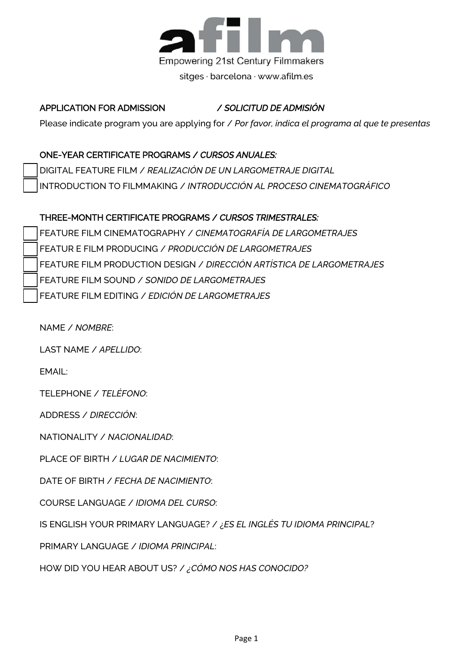

#### APPLICATION FOR ADMISSION 2017 – 2018 / *SOLICITUD DE ADMISIÓN 2017-2018*

Please indicate program you are applying for / *Por favor, indica el programa al que te presentas* 

#### ONE-YEAR CERTIFICATE PROGRAMS / *CURSOS ANUALES:*

DIGITAL FEATURE FILM / *REALIZACIÓN DE UN LARGOMETRAJE DIGITAL* INTRODUCTION TO FILMMAKING / *INTRODUCCIÓN AL PROCESO CINEMATOGRÁFICO*

#### THREE-MONTH CERTIFICATE PROGRAMS / *CURSOS TRIMESTRALES:*

FEATURE FILM CINEMATOGRAPHY / *CINEMATOGRAFÍA DE LARGOMETRAJES* FEATUR E FILM PRODUCING / *PRODUCCIÓN DE LARGOMETRAJES* FEATURE FILM PRODUCTION DESIGN / *DIRECCIÓN ARTÍSTICA DE LARGOMETRAJES* FEATURE FILM SOUND / *SONIDO DE LARGOMETRAJES* FEATURE FILM EDITING / *EDICIÓN DE LARGOMETRAJES*

NAME / *NOMBRE*:

LAST NAME / *APELLIDO*:

EMAIL:

TELEPHONE / *TELÉFONO*:

ADDRESS / *DIRECCIÓN*:

NATIONALITY / *NACIONALIDAD*:

PLACE OF BIRTH / *LUGAR DE NACIMIENTO*:

DATE OF BIRTH / *FECHA DE NACIMIENTO*:

COURSE LANGUAGE / *IDIOMA DEL CURSO*:

IS ENGLISH YOUR PRIMARY LANGUAGE? / ¿*ES EL INGLÉS TU IDIOMA PRINCIPAL*?

PRIMARY LANGUAGE / *IDIOMA PRINCIPAL*:

HOW DID YOU HEAR ABOUT US? / *¿CÓMO NOS HAS CONOCIDO?*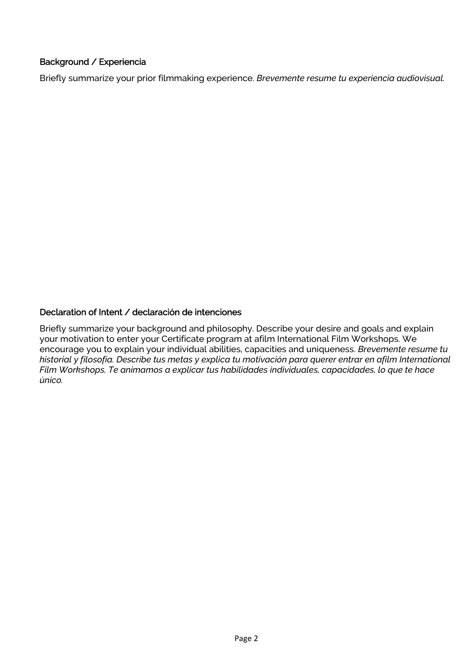## Background / Experiencia

Briefly summarize your prior filmmaking experience. *Brevemente resume tu experiencia audiovisual.* 

### Declaration of Intent / declaración de intenciones

Briefly summarize your background and philosophy. Describe your desire and goals and explain your motivation to enter your Certificate program at afilm International Film Workshops. We encourage you to explain your individual abilities, capacities and uniqueness. *Brevemente resume tu historial y filosofía. Describe tus metas y explica tu motivación para querer entrar en afilm International Film Workshops. Te animamos a explicar tus habilidades individuales, capacidades, lo que te hace único.*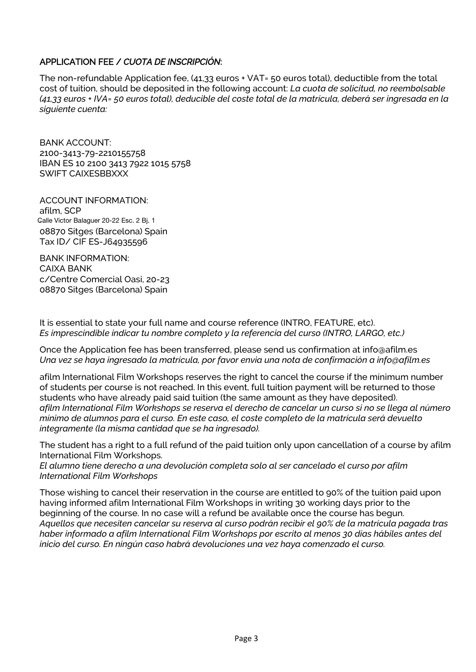## APPLICATION FEE / *CUOTA DE INSCRIPCIÓN*:

The non-refundable Application fee, (41,33 euros + VAT= 50 euros total), deductible from the total cost of tuition, should be deposited in the following account: *La cuota de solicitud, no reembolsable (41,33 euros + IVA= 50 euros total), deducible del coste total de la matrícula, deberá ser ingresada en la siguiente cuenta:* 

BANK ACCOUNT: 2100-3413-79-2210155758 IBAN ES 10 2100 3413 7922 1015 5758 SWIFT CAIXESBBXXX

ACCOUNT INFORMATION: afilm, SCP Calle Victor Balaguer 20-22 Esc. 2 Bj. 1 08870 Sitges (Barcelona) Spain Tax ID/ CIF ES-J64935596

BANK INFORMATION: CAIXA BANK c/Centre Comercial Oasi, 20-23 08870 Sitges (Barcelona) Spain

It is essential to state your full name and course reference (INTRO, FEATURE, etc). *Es imprescindible indicar tu nombre completo y la referencia del curso (INTRO, LARGO, etc.)* 

Once the Application fee has been transferred, please send us confirmation at info@afilm.es *Una vez se haya ingresado la matrícula, por favor envia una nota de confirmación a info@afilm.es* 

afilm International Film Workshops reserves the right to cancel the course if the mínimum number of students per course is not reached. In this event, full tuition payment will be returned to those students who have already paid said tuition (the same amount as they have deposited). *afilm International Film Workshops se reserva el derecho de cancelar un curso si no se llega al número mínimo de alumnos para el curso. En este caso, el coste completo de la matrícula será devuelto íntegramente (la misma cantidad que se ha ingresado).* 

The student has a right to a full refund of the paid tuition only upon cancellation of a course by afilm International Film Workshops.

*El alumno tiene derecho a una devolución completa solo al ser cancelado el curso por afilm International Film Workshops* 

Those wishing to cancel their reservation in the course are entitled to 90% of the tuition paid upon having informed afilm International Film Workshops in writing 30 working days prior to the beginning of the course. In no case will a refund be available once the course has begun. *Aquellos que necesiten cancelar su reserva al curso podrán recibir el 90% de la matrícula pagada tras haber informado a afilm International Film Workshops por escrito al menos 30 días hábiles antes del inicio del curso. En ningún caso habrá devoluciones una vez haya comenzado el curso.*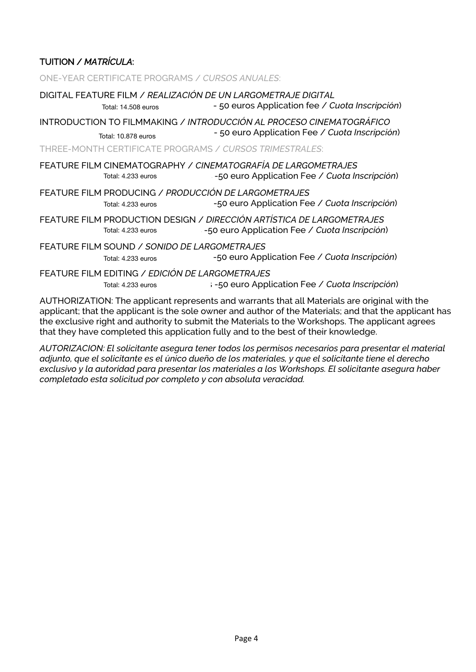# TUITION / *MATRÍCULA*:

ONE-YEAR CERTIFICATE PROGRAMS / *CURSOS ANUALES*:

|                                                                                                                                                                                                     | Total: 14.508 euros                                                   | DIGITAL FEATURE FILM / REALIZACIÓN DE UN LARGOMETRAJE DIGITAL<br>- 50 euros Application fee / Cuota Inscripción)       |
|-----------------------------------------------------------------------------------------------------------------------------------------------------------------------------------------------------|-----------------------------------------------------------------------|------------------------------------------------------------------------------------------------------------------------|
|                                                                                                                                                                                                     | Total: 10.878 euros                                                   | INTRODUCTION TO FILMMAKING / INTRODUCCIÓN AL PROCESO CINEMATOGRÁFICO<br>- 50 euro Application Fee / Cuota Inscripción) |
|                                                                                                                                                                                                     |                                                                       | THREE-MONTH CERTIFICATE PROGRAMS / CURSOS TRIMESTRALES:                                                                |
|                                                                                                                                                                                                     | Total: 4.233 euros                                                    | FEATURE FILM CINEMATOGRAPHY / CINEMATOGRAFÍA DE LARGOMETRAJES<br>-50 euro Application Fee / Cuota Inscripción)         |
|                                                                                                                                                                                                     | Total: 4.233 euros                                                    | FEATURE FILM PRODUCING / PRODUCCIÓN DE LARGOMETRAJES<br>-50 euro Application Fee / Cuota Inscripción)                  |
|                                                                                                                                                                                                     | Total: 4.233 euros                                                    | FEATURE FILM PRODUCTION DESIGN / DIRECCIÓN ARTÍSTICA DE LARGOMETRAJES<br>-50 euro Application Fee / Cuota Inscripción) |
|                                                                                                                                                                                                     | FEATURE FILM SOUND / SONIDO DE LARGOMETRAJES<br>Total: 4.233 euros    | -50 euro Application Fee / Cuota Inscripción)                                                                          |
|                                                                                                                                                                                                     | FEATURE FILM EDITING / EDICIÓN DE LARGOMETRAJES<br>Total: 4.233 euros | : -50 euro Application Fee / Cuota Inscripción)                                                                        |
| AUTHORIZATION: The applicant represents and warrants that all Materials are original with the<br>applicant; that the applicant is the sole owner and author of the Materials; and that the applicar |                                                                       |                                                                                                                        |

applicant; that the applicant is the sole owner and author of the Materials; and that the applicant has the exclusive right and authority to submit the Materials to the Workshops. The applicant agrees that they have completed this application fully and to the best of their knowledge.

*AUTORIZACION: El solicitante asegura tener todos los permisos necesarios para presentar el material adjunto, que el solicitante es el único dueño de los materiales, y que el solicitante tiene el derecho exclusivo y la autoridad para presentar los materiales a los Workshops. El solicitante asegura haber completado esta solicitud por completo y con absoluta veracidad.*